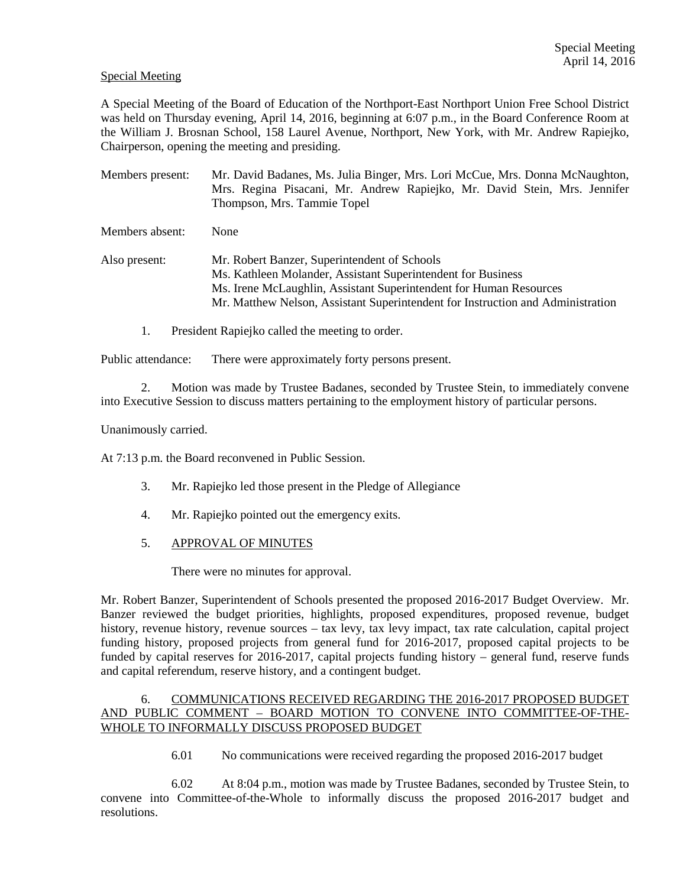# Special Meeting

A Special Meeting of the Board of Education of the Northport-East Northport Union Free School District was held on Thursday evening, April 14, 2016, beginning at 6:07 p.m., in the Board Conference Room at the William J. Brosnan School, 158 Laurel Avenue, Northport, New York, with Mr. Andrew Rapiejko, Chairperson, opening the meeting and presiding.

Members present: Mr. David Badanes, Ms. Julia Binger, Mrs. Lori McCue, Mrs. Donna McNaughton, Mrs. Regina Pisacani, Mr. Andrew Rapiejko, Mr. David Stein, Mrs. Jennifer Thompson, Mrs. Tammie Topel Members absent: None Also present: Mr. Robert Banzer, Superintendent of Schools Ms. Kathleen Molander, Assistant Superintendent for Business Ms. Irene McLaughlin, Assistant Superintendent for Human Resources Mr. Matthew Nelson, Assistant Superintendent for Instruction and Administration

1. President Rapiejko called the meeting to order.

Public attendance: There were approximately forty persons present.

2. Motion was made by Trustee Badanes, seconded by Trustee Stein, to immediately convene into Executive Session to discuss matters pertaining to the employment history of particular persons.

Unanimously carried.

At 7:13 p.m. the Board reconvened in Public Session.

- 3. Mr. Rapiejko led those present in the Pledge of Allegiance
- 4. Mr. Rapiejko pointed out the emergency exits.
- 5. APPROVAL OF MINUTES

There were no minutes for approval.

Mr. Robert Banzer, Superintendent of Schools presented the proposed 2016-2017 Budget Overview. Mr. Banzer reviewed the budget priorities, highlights, proposed expenditures, proposed revenue, budget history, revenue history, revenue sources – tax levy, tax levy impact, tax rate calculation, capital project funding history, proposed projects from general fund for 2016-2017, proposed capital projects to be funded by capital reserves for 2016-2017, capital projects funding history – general fund, reserve funds and capital referendum, reserve history, and a contingent budget.

# 6. COMMUNICATIONS RECEIVED REGARDING THE 2016-2017 PROPOSED BUDGET AND PUBLIC COMMENT – BOARD MOTION TO CONVENE INTO COMMITTEE-OF-THE-WHOLE TO INFORMALLY DISCUSS PROPOSED BUDGET

6.01 No communications were received regarding the proposed 2016-2017 budget

 6.02 At 8:04 p.m., motion was made by Trustee Badanes, seconded by Trustee Stein, to convene into Committee-of-the-Whole to informally discuss the proposed 2016-2017 budget and resolutions.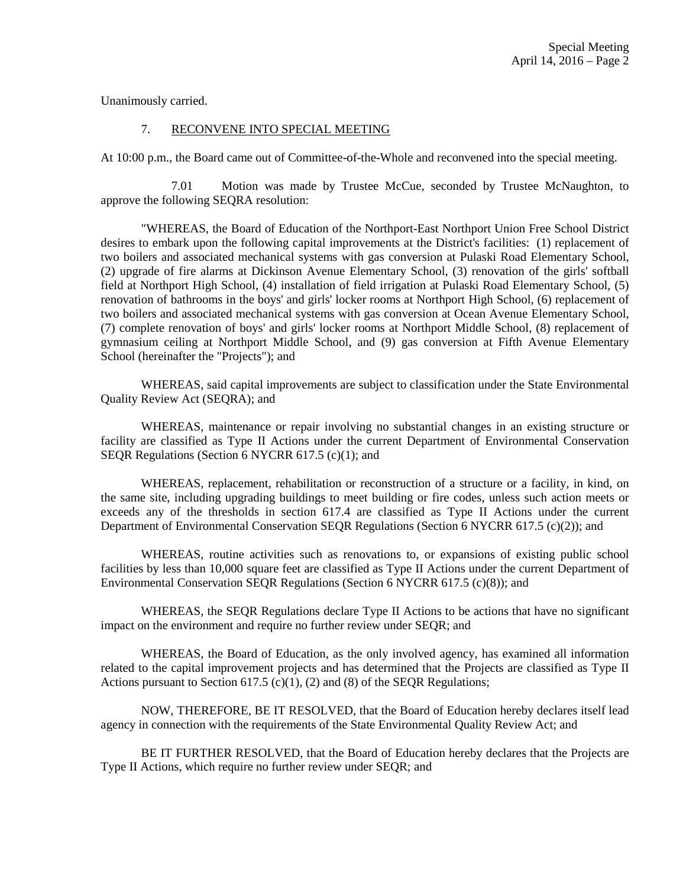Unanimously carried.

## 7. RECONVENE INTO SPECIAL MEETING

At 10:00 p.m., the Board came out of Committee-of-the-Whole and reconvened into the special meeting.

 7.01 Motion was made by Trustee McCue, seconded by Trustee McNaughton, to approve the following SEQRA resolution:

 "WHEREAS, the Board of Education of the Northport-East Northport Union Free School District desires to embark upon the following capital improvements at the District's facilities: (1) replacement of two boilers and associated mechanical systems with gas conversion at Pulaski Road Elementary School, (2) upgrade of fire alarms at Dickinson Avenue Elementary School, (3) renovation of the girls' softball field at Northport High School, (4) installation of field irrigation at Pulaski Road Elementary School, (5) renovation of bathrooms in the boys' and girls' locker rooms at Northport High School, (6) replacement of two boilers and associated mechanical systems with gas conversion at Ocean Avenue Elementary School, (7) complete renovation of boys' and girls' locker rooms at Northport Middle School, (8) replacement of gymnasium ceiling at Northport Middle School, and (9) gas conversion at Fifth Avenue Elementary School (hereinafter the "Projects"); and

 WHEREAS, said capital improvements are subject to classification under the State Environmental Quality Review Act (SEQRA); and

 WHEREAS, maintenance or repair involving no substantial changes in an existing structure or facility are classified as Type II Actions under the current Department of Environmental Conservation SEQR Regulations (Section 6 NYCRR 617.5 (c)(1); and

 WHEREAS, replacement, rehabilitation or reconstruction of a structure or a facility, in kind, on the same site, including upgrading buildings to meet building or fire codes, unless such action meets or exceeds any of the thresholds in section 617.4 are classified as Type II Actions under the current Department of Environmental Conservation SEQR Regulations (Section 6 NYCRR 617.5 (c)(2)); and

 WHEREAS, routine activities such as renovations to, or expansions of existing public school facilities by less than 10,000 square feet are classified as Type II Actions under the current Department of Environmental Conservation SEQR Regulations (Section 6 NYCRR 617.5 (c)(8)); and

 WHEREAS, the SEQR Regulations declare Type II Actions to be actions that have no significant impact on the environment and require no further review under SEQR; and

 WHEREAS, the Board of Education, as the only involved agency, has examined all information related to the capital improvement projects and has determined that the Projects are classified as Type II Actions pursuant to Section 617.5 (c)(1), (2) and (8) of the SEQR Regulations;

 NOW, THEREFORE, BE IT RESOLVED, that the Board of Education hereby declares itself lead agency in connection with the requirements of the State Environmental Quality Review Act; and

 BE IT FURTHER RESOLVED, that the Board of Education hereby declares that the Projects are Type II Actions, which require no further review under SEQR; and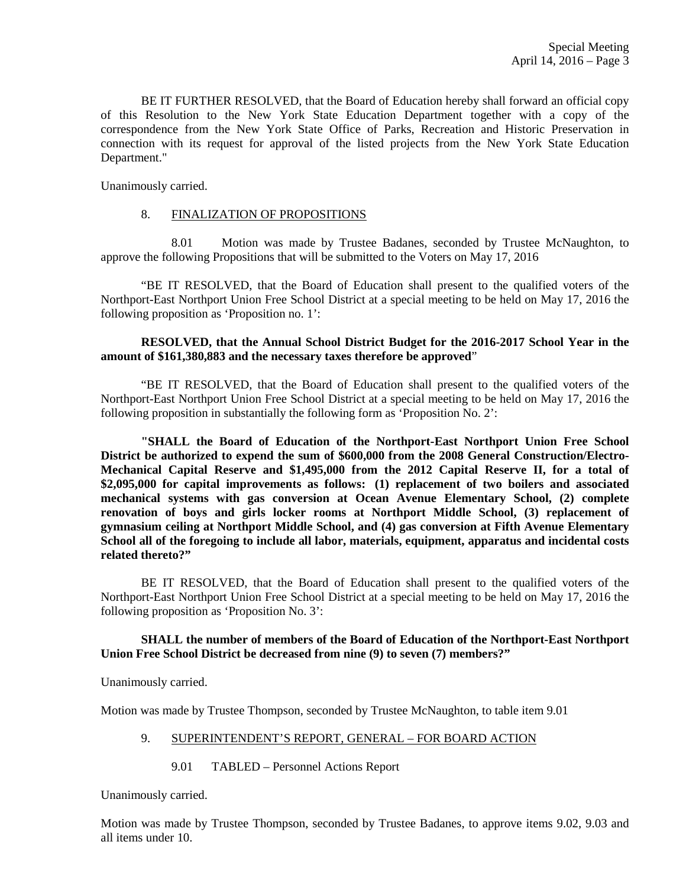BE IT FURTHER RESOLVED, that the Board of Education hereby shall forward an official copy of this Resolution to the New York State Education Department together with a copy of the correspondence from the New York State Office of Parks, Recreation and Historic Preservation in connection with its request for approval of the listed projects from the New York State Education Department."

Unanimously carried.

#### 8. FINALIZATION OF PROPOSITIONS

 8.01 Motion was made by Trustee Badanes, seconded by Trustee McNaughton, to approve the following Propositions that will be submitted to the Voters on May 17, 2016

 "BE IT RESOLVED, that the Board of Education shall present to the qualified voters of the Northport-East Northport Union Free School District at a special meeting to be held on May 17, 2016 the following proposition as 'Proposition no. 1':

## **RESOLVED, that the Annual School District Budget for the 2016-2017 School Year in the amount of \$161,380,883 and the necessary taxes therefore be approved**"

 "BE IT RESOLVED, that the Board of Education shall present to the qualified voters of the Northport-East Northport Union Free School District at a special meeting to be held on May 17, 2016 the following proposition in substantially the following form as 'Proposition No. 2':

**"SHALL the Board of Education of the Northport-East Northport Union Free School District be authorized to expend the sum of \$600,000 from the 2008 General Construction/Electro-Mechanical Capital Reserve and \$1,495,000 from the 2012 Capital Reserve II, for a total of \$2,095,000 for capital improvements as follows: (1) replacement of two boilers and associated mechanical systems with gas conversion at Ocean Avenue Elementary School, (2) complete renovation of boys and girls locker rooms at Northport Middle School, (3) replacement of gymnasium ceiling at Northport Middle School, and (4) gas conversion at Fifth Avenue Elementary School all of the foregoing to include all labor, materials, equipment, apparatus and incidental costs related thereto?"** 

 BE IT RESOLVED, that the Board of Education shall present to the qualified voters of the Northport-East Northport Union Free School District at a special meeting to be held on May 17, 2016 the following proposition as 'Proposition No. 3':

## **SHALL the number of members of the Board of Education of the Northport-East Northport Union Free School District be decreased from nine (9) to seven (7) members?"**

Unanimously carried.

Motion was made by Trustee Thompson, seconded by Trustee McNaughton, to table item 9.01

## 9. SUPERINTENDENT'S REPORT, GENERAL – FOR BOARD ACTION

9.01 TABLED – Personnel Actions Report

Unanimously carried.

Motion was made by Trustee Thompson, seconded by Trustee Badanes, to approve items 9.02, 9.03 and all items under 10.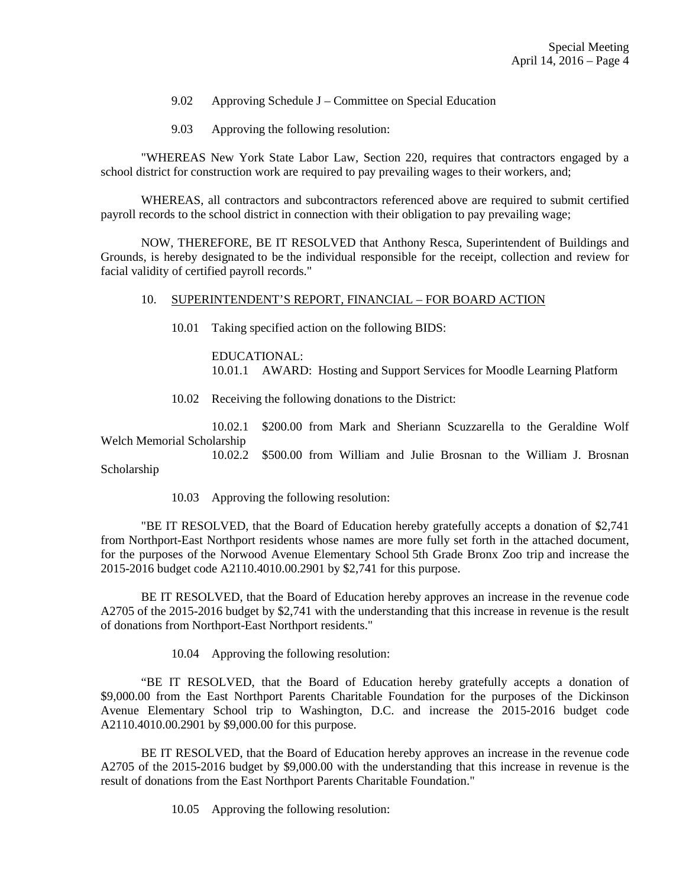- 9.02 Approving Schedule J Committee on Special Education
- 9.03 Approving the following resolution:

 "WHEREAS New York State Labor Law, Section 220, requires that contractors engaged by a school district for construction work are required to pay prevailing wages to their workers, and;

 WHEREAS, all contractors and subcontractors referenced above are required to submit certified payroll records to the school district in connection with their obligation to pay prevailing wage;

 NOW, THEREFORE, BE IT RESOLVED that Anthony Resca, Superintendent of Buildings and Grounds, is hereby designated to be the individual responsible for the receipt, collection and review for facial validity of certified payroll records."

#### 10. SUPERINTENDENT'S REPORT, FINANCIAL – FOR BOARD ACTION

10.01 Taking specified action on the following BIDS:

 EDUCATIONAL: 10.01.1 AWARD: Hosting and Support Services for Moodle Learning Platform

10.02 Receiving the following donations to the District:

 10.02.1 \$200.00 from Mark and Sheriann Scuzzarella to the Geraldine Wolf Welch Memorial Scholarship

 10.02.2 \$500.00 from William and Julie Brosnan to the William J. Brosnan Scholarship

10.03 Approving the following resolution:

 "BE IT RESOLVED, that the Board of Education hereby gratefully accepts a donation of \$2,741 from Northport-East Northport residents whose names are more fully set forth in the attached document, for the purposes of the Norwood Avenue Elementary School 5th Grade Bronx Zoo trip and increase the 2015-2016 budget code A2110.4010.00.2901 by \$2,741 for this purpose.

 BE IT RESOLVED, that the Board of Education hereby approves an increase in the revenue code A2705 of the 2015-2016 budget by \$2,741 with the understanding that this increase in revenue is the result of donations from Northport-East Northport residents."

10.04 Approving the following resolution:

 "BE IT RESOLVED, that the Board of Education hereby gratefully accepts a donation of \$9,000.00 from the East Northport Parents Charitable Foundation for the purposes of the Dickinson Avenue Elementary School trip to Washington, D.C. and increase the 2015-2016 budget code A2110.4010.00.2901 by \$9,000.00 for this purpose.

 BE IT RESOLVED, that the Board of Education hereby approves an increase in the revenue code A2705 of the 2015-2016 budget by \$9,000.00 with the understanding that this increase in revenue is the result of donations from the East Northport Parents Charitable Foundation."

10.05 Approving the following resolution: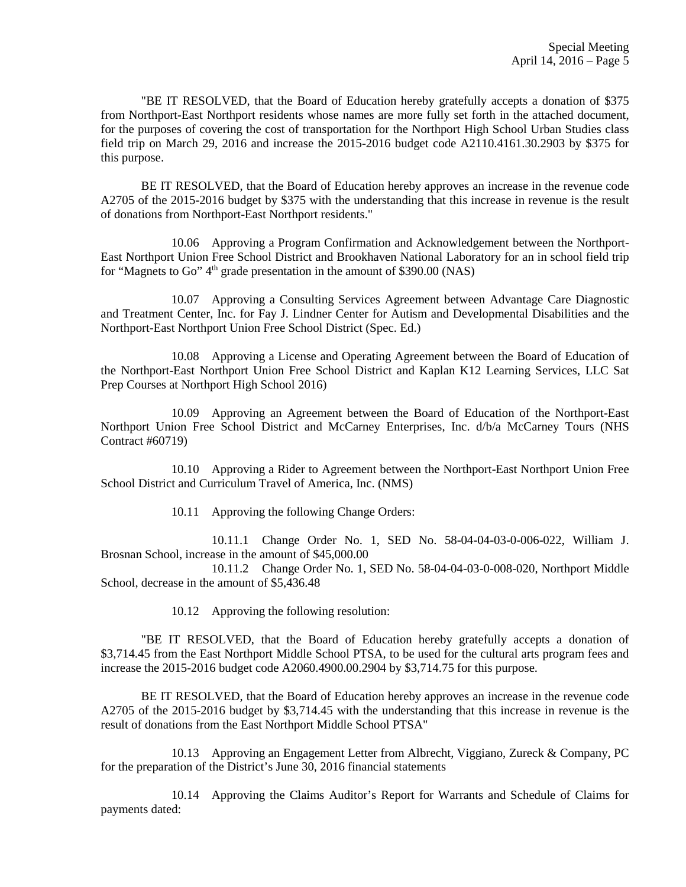"BE IT RESOLVED, that the Board of Education hereby gratefully accepts a donation of \$375 from Northport-East Northport residents whose names are more fully set forth in the attached document, for the purposes of covering the cost of transportation for the Northport High School Urban Studies class field trip on March 29, 2016 and increase the 2015-2016 budget code A2110.4161.30.2903 by \$375 for this purpose.

 BE IT RESOLVED, that the Board of Education hereby approves an increase in the revenue code A2705 of the 2015-2016 budget by \$375 with the understanding that this increase in revenue is the result of donations from Northport-East Northport residents."

 10.06 Approving a Program Confirmation and Acknowledgement between the Northport-East Northport Union Free School District and Brookhaven National Laboratory for an in school field trip for "Magnets to Go" 4<sup>th</sup> grade presentation in the amount of \$390.00 (NAS)

 10.07 Approving a Consulting Services Agreement between Advantage Care Diagnostic and Treatment Center, Inc. for Fay J. Lindner Center for Autism and Developmental Disabilities and the Northport-East Northport Union Free School District (Spec. Ed.)

 10.08 Approving a License and Operating Agreement between the Board of Education of the Northport-East Northport Union Free School District and Kaplan K12 Learning Services, LLC Sat Prep Courses at Northport High School 2016)

 10.09 Approving an Agreement between the Board of Education of the Northport-East Northport Union Free School District and McCarney Enterprises, Inc. d/b/a McCarney Tours (NHS Contract #60719)

 10.10 Approving a Rider to Agreement between the Northport-East Northport Union Free School District and Curriculum Travel of America, Inc. (NMS)

10.11 Approving the following Change Orders:

 10.11.1 Change Order No. 1, SED No. 58-04-04-03-0-006-022, William J. Brosnan School, increase in the amount of \$45,000.00

 10.11.2 Change Order No. 1, SED No. 58-04-04-03-0-008-020, Northport Middle School, decrease in the amount of \$5,436.48

10.12 Approving the following resolution:

 "BE IT RESOLVED, that the Board of Education hereby gratefully accepts a donation of \$3,714.45 from the East Northport Middle School PTSA, to be used for the cultural arts program fees and increase the 2015-2016 budget code A2060.4900.00.2904 by \$3,714.75 for this purpose.

 BE IT RESOLVED, that the Board of Education hereby approves an increase in the revenue code A2705 of the 2015-2016 budget by \$3,714.45 with the understanding that this increase in revenue is the result of donations from the East Northport Middle School PTSA"

 10.13 Approving an Engagement Letter from Albrecht, Viggiano, Zureck & Company, PC for the preparation of the District's June 30, 2016 financial statements

 10.14 Approving the Claims Auditor's Report for Warrants and Schedule of Claims for payments dated: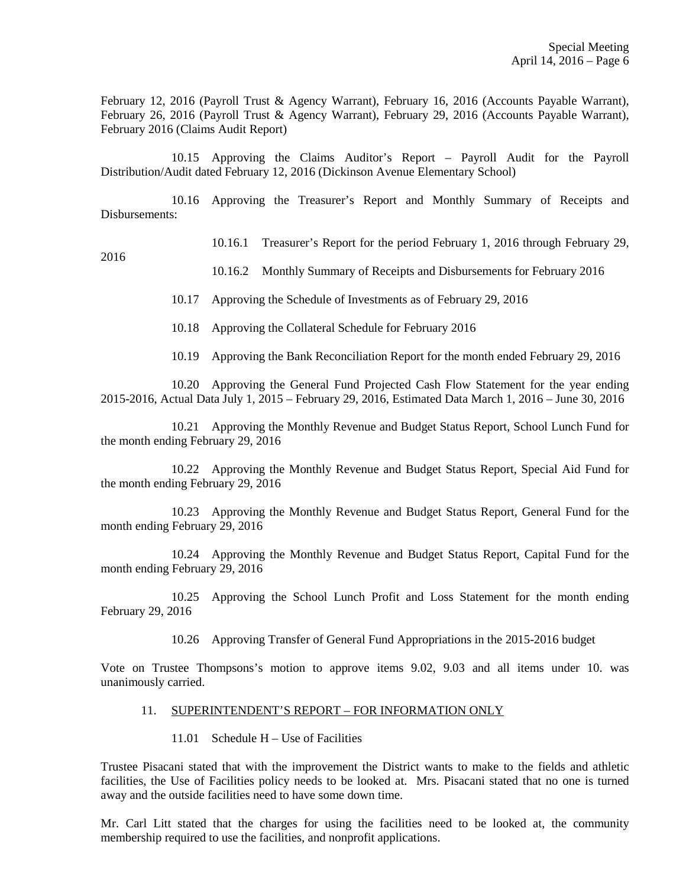February 12, 2016 (Payroll Trust & Agency Warrant), February 16, 2016 (Accounts Payable Warrant), February 26, 2016 (Payroll Trust & Agency Warrant), February 29, 2016 (Accounts Payable Warrant), February 2016 (Claims Audit Report)

 10.15 Approving the Claims Auditor's Report – Payroll Audit for the Payroll Distribution/Audit dated February 12, 2016 (Dickinson Avenue Elementary School)

 10.16 Approving the Treasurer's Report and Monthly Summary of Receipts and Disbursements:

10.16.1 Treasurer's Report for the period February 1, 2016 through February 29,

2016

10.16.2 Monthly Summary of Receipts and Disbursements for February 2016

10.17 Approving the Schedule of Investments as of February 29, 2016

10.18 Approving the Collateral Schedule for February 2016

10.19 Approving the Bank Reconciliation Report for the month ended February 29, 2016

 10.20 Approving the General Fund Projected Cash Flow Statement for the year ending 2015-2016, Actual Data July 1, 2015 – February 29, 2016, Estimated Data March 1, 2016 – June 30, 2016

 10.21 Approving the Monthly Revenue and Budget Status Report, School Lunch Fund for the month ending February 29, 2016

 10.22 Approving the Monthly Revenue and Budget Status Report, Special Aid Fund for the month ending February 29, 2016

 10.23 Approving the Monthly Revenue and Budget Status Report, General Fund for the month ending February 29, 2016

 10.24 Approving the Monthly Revenue and Budget Status Report, Capital Fund for the month ending February 29, 2016

 10.25 Approving the School Lunch Profit and Loss Statement for the month ending February 29, 2016

10.26 Approving Transfer of General Fund Appropriations in the 2015-2016 budget

Vote on Trustee Thompsons's motion to approve items 9.02, 9.03 and all items under 10. was unanimously carried.

#### 11. SUPERINTENDENT'S REPORT – FOR INFORMATION ONLY

## 11.01 Schedule H – Use of Facilities

Trustee Pisacani stated that with the improvement the District wants to make to the fields and athletic facilities, the Use of Facilities policy needs to be looked at. Mrs. Pisacani stated that no one is turned away and the outside facilities need to have some down time.

Mr. Carl Litt stated that the charges for using the facilities need to be looked at, the community membership required to use the facilities, and nonprofit applications.